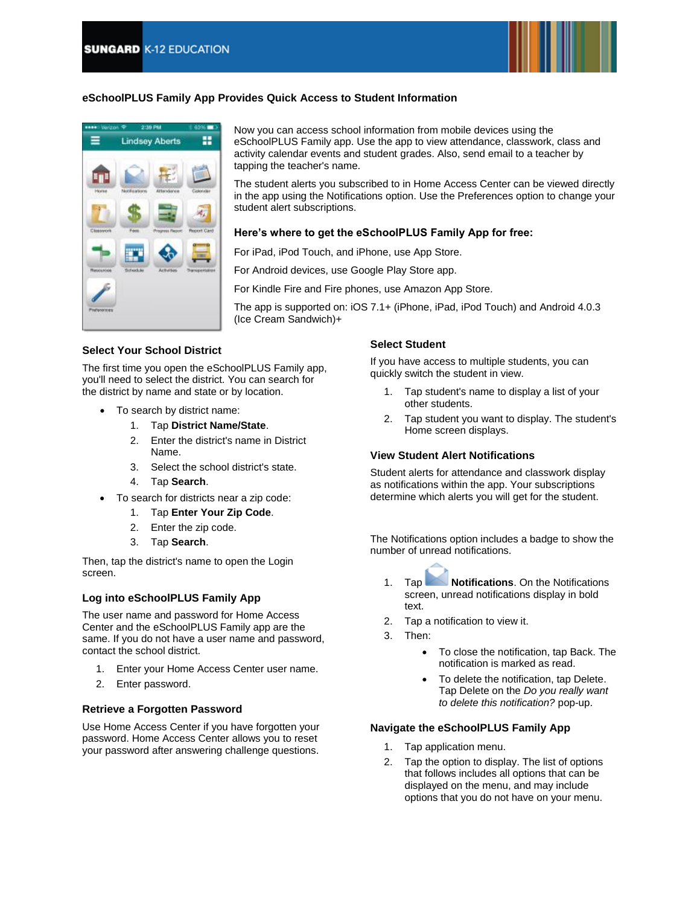

## **eSchoolPLUS Family App Provides Quick Access to Student Information**



Now you can access school information from mobile devices using the eSchoolPLUS Family app. Use the app to view attendance, classwork, class and activity calendar events and student grades. Also, send email to a teacher by tapping the teacher's name.

The student alerts you subscribed to in Home Access Center can be viewed directly in the app using the Notifications option. Use the Preferences option to change your student alert subscriptions.

### **Here's where to get the eSchoolPLUS Family App for free:**

For iPad, iPod Touch, and iPhone, use App Store.

For Android devices, use Google Play Store app.

For Kindle Fire and Fire phones, use Amazon App Store.

The app is supported on: iOS 7.1+ (iPhone, iPad, iPod Touch) and Android 4.0.3 (Ice Cream Sandwich)+

### **Select Your School District**

The first time you open the eSchoolPLUS Family app, you'll need to select the district. You can search for the district by name and state or by location.

- To search by district name:
	- 1. Tap **District Name/State**.
	- 2. Enter the district's name in District Name.
	- 3. Select the school district's state.
	- 4. Tap **Search**.
- To search for districts near a zip code:
	- 1. Tap **Enter Your Zip Code**.
	- 2. Enter the zip code.
	- 3. Tap **Search**.

Then, tap the district's name to open the Login screen.

### **Log into eSchoolPLUS Family App**

The user name and password for Home Access Center and the eSchoolPLUS Family app are the same. If you do not have a user name and password, contact the school district.

- 1. Enter your Home Access Center user name.
- 2. Enter password.

### **Retrieve a Forgotten Password**

Use Home Access Center if you have forgotten your password. Home Access Center allows you to reset your password after answering challenge questions.

### **Select Student**

If you have access to multiple students, you can quickly switch the student in view.

- 1. Tap student's name to display a list of your other students.
- 2. Tap student you want to display. The student's Home screen displays.

### **View Student Alert Notifications**

Student alerts for attendance and classwork display as notifications within the app. Your subscriptions determine which alerts you will get for the student.

The Notifications option includes a badge to show the number of unread notifications.

- 1. Tap **Notifications**. On the Notifications screen, unread notifications display in bold text.
- 2. Tap a notification to view it.
- 3. Then:
	- To close the notification, tap Back. The notification is marked as read.
	- To delete the notification, tap Delete. Tap Delete on the *Do you really want to delete this notification?* pop-up.

#### **Navigate the eSchoolPLUS Family App**

- 1. Tap application menu.
- 2. Tap the option to display. The list of options that follows includes all options that can be displayed on the menu, and may include options that you do not have on your menu.